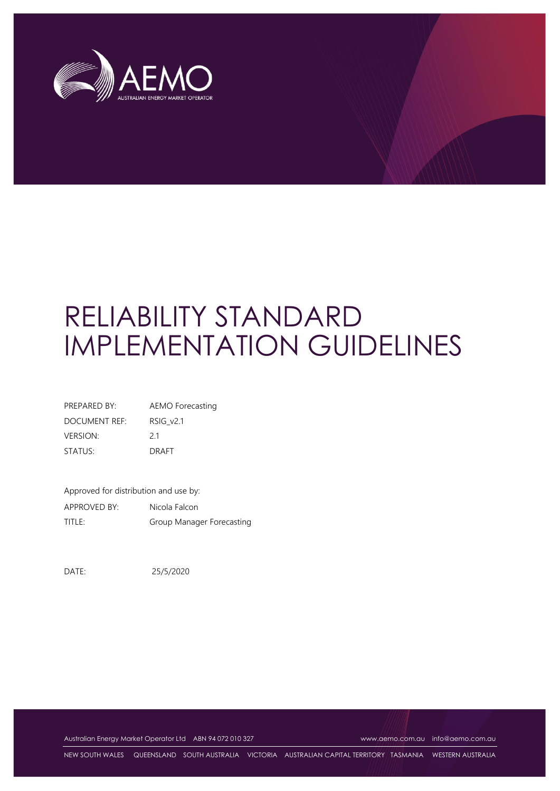

# RELIABILITY STANDARD IMPLEMENTATION GUIDELINES

| PREPARED BY:    | AEMO Forecasting |
|-----------------|------------------|
| DOCUMENT REF:   | RSIG v2.1        |
| <b>VERSION:</b> | 21               |
| STATUS:         | <b>DRAFT</b>     |

Approved for distribution and use by: APPROVED BY: Nicola Falcon TITLE: Group Manager Forecasting

DATE: 25/5/2020

Australian Energy Market Operator Ltd ABN 94 072 010 327 [www.aemo.com.au](http://www.aemo.com.au/) [info@aemo.com.au](mailto:info@aemo.com.au)

NEW SOUTH WALES QUEENSLAND SOUTH AUSTRALIA VICTORIA AUSTRALIAN CAPITAL TERRITORY TASMANIA WESTERN AUSTRALIA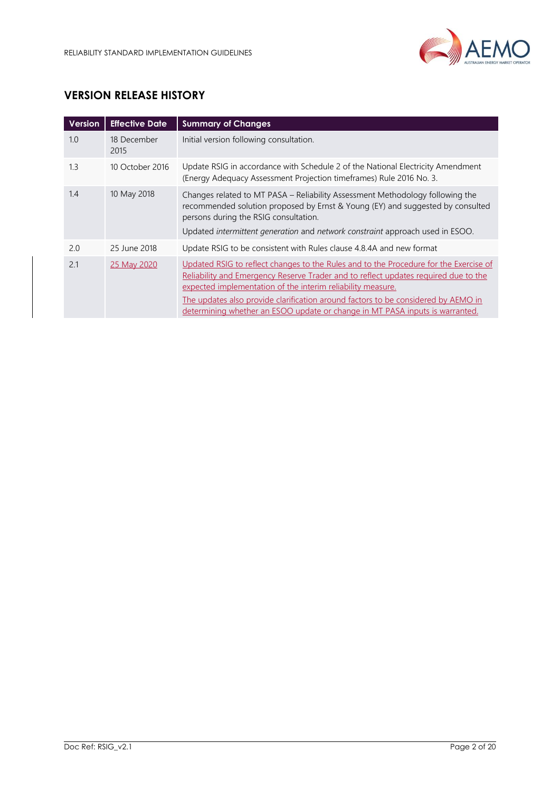

## **VERSION RELEASE HISTORY**

| <b>Version</b> | <b>Effective Date</b> | <b>Summary of Changes</b>                                                                                                                                                                                                                                                                                                                                                                                        |
|----------------|-----------------------|------------------------------------------------------------------------------------------------------------------------------------------------------------------------------------------------------------------------------------------------------------------------------------------------------------------------------------------------------------------------------------------------------------------|
| 1.0            | 18 December<br>2015   | Initial version following consultation.                                                                                                                                                                                                                                                                                                                                                                          |
| 1.3            | 10 October 2016       | Update RSIG in accordance with Schedule 2 of the National Electricity Amendment<br>(Energy Adequacy Assessment Projection timeframes) Rule 2016 No. 3.                                                                                                                                                                                                                                                           |
| 1.4            | 10 May 2018           | Changes related to MT PASA - Reliability Assessment Methodology following the<br>recommended solution proposed by Ernst & Young (EY) and suggested by consulted<br>persons during the RSIG consultation.<br>Updated intermittent generation and network constraint approach used in ESOO.                                                                                                                        |
| 2.0            | 25 June 2018          | Update RSIG to be consistent with Rules clause 4.8.4A and new format                                                                                                                                                                                                                                                                                                                                             |
| 2.1            | 25 May 2020           | Updated RSIG to reflect changes to the Rules and to the Procedure for the Exercise of<br>Reliability and Emergency Reserve Trader and to reflect updates required due to the<br>expected implementation of the interim reliability measure.<br>The updates also provide clarification around factors to be considered by AEMO in<br>determining whether an ESOO update or change in MT PASA inputs is warranted. |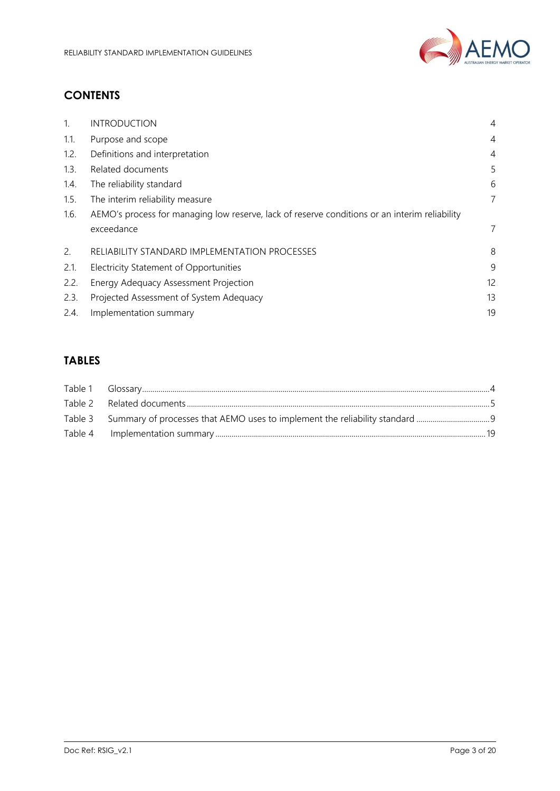

## **CONTENTS**

| $1_{\cdot}$ | <b>INTRODUCTION</b>                                                                           | $\overline{4}$ |
|-------------|-----------------------------------------------------------------------------------------------|----------------|
| 1.1.        | Purpose and scope                                                                             | $\overline{4}$ |
| 1.2.        | Definitions and interpretation                                                                | $\overline{4}$ |
| 1.3.        | Related documents                                                                             | 5              |
| 1.4.        | The reliability standard                                                                      | 6              |
| 1.5.        | The interim reliability measure                                                               | 7              |
| 1.6.        | AEMO's process for managing low reserve, lack of reserve conditions or an interim reliability |                |
|             | exceedance                                                                                    | 7              |
| 2.          | RELIABILITY STANDARD IMPLEMENTATION PROCESSES                                                 | 8              |
| 2.1.        | <b>Electricity Statement of Opportunities</b>                                                 | 9              |
| 2.2.        | Energy Adequacy Assessment Projection                                                         | 12             |
| 2.3.        | Projected Assessment of System Adequacy                                                       | 13             |
| 2.4.        | Implementation summary                                                                        | 19             |
|             |                                                                                               |                |

## **TABLES**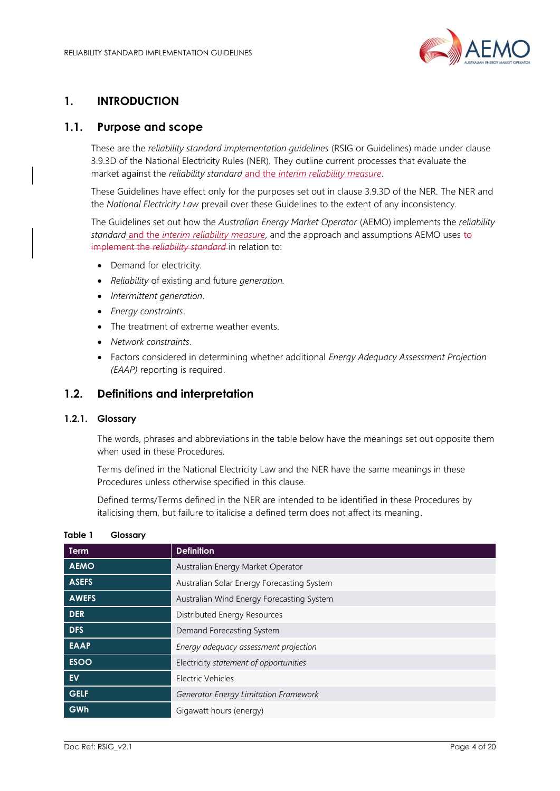

## <span id="page-3-0"></span>**1. INTRODUCTION**

## <span id="page-3-1"></span>**1.1. Purpose and scope**

These are the *reliability standard implementation guidelines* (RSIG or Guidelines) made under clause 3.9.3D of the National Electricity Rules (NER). They outline current processes that evaluate the market against the *reliability standard* and the *interim reliability measure*.

These Guidelines have effect only for the purposes set out in clause 3.9.3D of the NER. The NER and the *National Electricity Law* prevail over these Guidelines to the extent of any inconsistency.

The Guidelines set out how the *Australian Energy Market Operator* (AEMO) implements the *reliability standard* and the *interim reliability measure*, and the approach and assumptions AEMO uses to implement the *reliability standard* in relation to:

- Demand for electricity.
- *Reliability* of existing and future *generation.*
- *Intermittent generation*.
- *Energy constraints*.
- The treatment of extreme weather events.
- *Network constraints*.
- Factors considered in determining whether additional *Energy Adequacy Assessment Projection (EAAP)* reporting is required.

## <span id="page-3-2"></span>**1.2. Definitions and interpretation**

#### **1.2.1. Glossary**

The words, phrases and abbreviations in the table below have the meanings set out opposite them when used in these Procedures.

Terms defined in the National Electricity Law and the NER have the same meanings in these Procedures unless otherwise specified in this clause.

Defined terms/Terms defined in the NER are intended to be identified in these Procedures by italicising them, but failure to italicise a defined term does not affect its meaning.

| <b>Term</b>  | <b>Definition</b>                          |
|--------------|--------------------------------------------|
| <b>AEMO</b>  | Australian Energy Market Operator          |
| <b>ASEFS</b> | Australian Solar Energy Forecasting System |
| <b>AWEFS</b> | Australian Wind Energy Forecasting System  |
| <b>DER</b>   | Distributed Energy Resources               |
| <b>DFS</b>   | Demand Forecasting System                  |
| <b>EAAP</b>  | Energy adequacy assessment projection      |
| <b>ESOO</b>  | Electricity statement of opportunities     |
| <b>EV</b>    | Electric Vehicles                          |
| <b>GELF</b>  | Generator Energy Limitation Framework      |
| GWh          | Gigawatt hours (energy)                    |

#### <span id="page-3-3"></span>**Table 1 Glossary**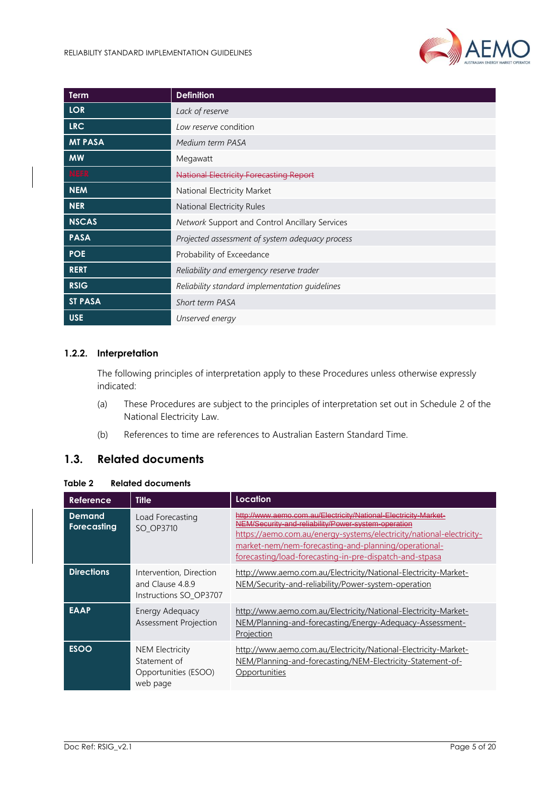

| Term           | <b>Definition</b>                               |
|----------------|-------------------------------------------------|
| <b>LOR</b>     | Lack of reserve                                 |
| <b>LRC</b>     | Low reserve condition                           |
| <b>MT PASA</b> | Medium term PASA                                |
| <b>MW</b>      | Megawatt                                        |
| <b>NEFR</b>    | <b>National Electricity Forecasting Report</b>  |
| <b>NEM</b>     | National Electricity Market                     |
| <b>NER</b>     | National Electricity Rules                      |
| <b>NSCAS</b>   | Network Support and Control Ancillary Services  |
| <b>PASA</b>    | Projected assessment of system adequacy process |
| <b>POE</b>     | Probability of Exceedance                       |
| <b>RERT</b>    | Reliability and emergency reserve trader        |
| <b>RSIG</b>    | Reliability standard implementation quidelines  |
| <b>ST PASA</b> | <b>Short term PASA</b>                          |
| <b>USE</b>     | Unserved energy                                 |

#### **1.2.2. Interpretation**

The following principles of interpretation apply to these Procedures unless otherwise expressly indicated:

- (a) These Procedures are subject to the principles of interpretation set out in Schedule 2 of the National Electricity Law.
- (b) References to time are references to Australian Eastern Standard Time.

## <span id="page-4-0"></span>**1.3. Related documents**

#### <span id="page-4-1"></span>**Table 2 Related documents**

| Reference                    | <b>Title</b>                                                               | <b>Location</b>                                                                                                                                                                                                                                                                                                   |
|------------------------------|----------------------------------------------------------------------------|-------------------------------------------------------------------------------------------------------------------------------------------------------------------------------------------------------------------------------------------------------------------------------------------------------------------|
| <b>Demand</b><br>Forecasting | Load Forecasting<br>SO OP3710                                              | http://www.aemo.com.au/Electricity/National-Electricity-Market-<br>NEM/Security-and-reliability/Power-system-operation<br>https://aemo.com.au/energy-systems/electricity/national-electricity-<br>market-nem/nem-forecasting-and-planning/operational-<br>forecasting/load-forecasting-in-pre-dispatch-and-stpasa |
| <b>Directions</b>            | Intervention, Direction<br>and Clause 4.8.9<br>Instructions SO OP3707      | http://www.aemo.com.au/Electricity/National-Electricity-Market-<br>NEM/Security-and-reliability/Power-system-operation                                                                                                                                                                                            |
| <b>EAAP</b>                  | Energy Adequacy<br>Assessment Projection                                   | http://www.aemo.com.au/Electricity/National-Electricity-Market-<br>NEM/Planning-and-forecasting/Energy-Adequacy-Assessment-<br>Projection                                                                                                                                                                         |
| <b>ESOO</b>                  | <b>NEM Electricity</b><br>Statement of<br>Opportunities (ESOO)<br>web page | http://www.aemo.com.au/Electricity/National-Electricity-Market-<br>NEM/Planning-and-forecasting/NEM-Electricity-Statement-of-<br>Opportunities                                                                                                                                                                    |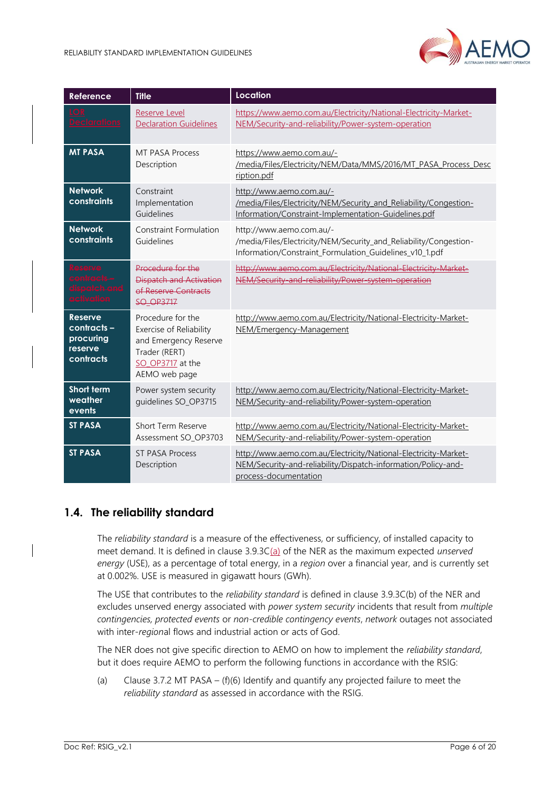

| <b>Reference</b>                                                   | <b>Title</b>                                                                                                                | Location                                                                                                                                                  |
|--------------------------------------------------------------------|-----------------------------------------------------------------------------------------------------------------------------|-----------------------------------------------------------------------------------------------------------------------------------------------------------|
| <u>eclarations</u>                                                 | <b>Reserve Level</b><br><b>Declaration Guidelines</b>                                                                       | https://www.aemo.com.au/Electricity/National-Electricity-Market-<br>NEM/Security-and-reliability/Power-system-operation                                   |
| <b>MT PASA</b>                                                     | MT PASA Process<br>Description                                                                                              | https://www.aemo.com.au/-<br>/media/Files/Electricity/NEM/Data/MMS/2016/MT PASA Process Desc<br>ription.pdf                                               |
| <b>Network</b><br>constraints                                      | Constraint<br>Implementation<br>Guidelines                                                                                  | http://www.aemo.com.au/-<br>/media/Files/Electricity/NEM/Security and Reliability/Congestion-<br>Information/Constraint-Implementation-Guidelines.pdf     |
| <b>Network</b><br>constraints                                      | Constraint Formulation<br>Guidelines                                                                                        | http://www.aemo.com.au/-<br>/media/Files/Electricity/NEM/Security_and_Reliability/Congestion-<br>Information/Constraint_Formulation_Guidelines_v10_1.pdf  |
|                                                                    | Procedure for the<br><b>Dispatch and Activation</b><br>of Reserve Contracts<br><b>SO OP3717</b>                             | http://www.aemo.com.au/Electricity/National-Electricity-Market-<br>NEM/Security-and-reliability/Power-system-operation                                    |
| <b>Reserve</b><br>contracts -<br>procuring<br>reserve<br>contracts | Procedure for the<br>Exercise of Reliability<br>and Emergency Reserve<br>Trader (RERT)<br>SO OP3717 at the<br>AEMO web page | http://www.aemo.com.au/Electricity/National-Electricity-Market-<br>NEM/Emergency-Management                                                               |
| Short term<br>weather<br>events                                    | Power system security<br>quidelines SO_OP3715                                                                               | http://www.aemo.com.au/Electricity/National-Electricity-Market-<br>NEM/Security-and-reliability/Power-system-operation                                    |
| <b>ST PASA</b>                                                     | Short Term Reserve<br>Assessment SO_OP3703                                                                                  | http://www.aemo.com.au/Electricity/National-Electricity-Market-<br>NEM/Security-and-reliability/Power-system-operation                                    |
| <b>ST PASA</b>                                                     | <b>ST PASA Process</b><br>Description                                                                                       | http://www.aemo.com.au/Electricity/National-Electricity-Market-<br>NEM/Security-and-reliability/Dispatch-information/Policy-and-<br>process-documentation |

## <span id="page-5-0"></span>**1.4. The reliability standard**

The *reliability standard* is a measure of the effectiveness, or sufficiency, of installed capacity to meet demand. It is defined in clause 3.9.3C(a) of the NER as the maximum expected *unserved energy* (USE), as a percentage of total energy, in a *region* over a financial year, and is currently set at 0.002%. USE is measured in gigawatt hours (GWh).

The USE that contributes to the *reliability standard* is defined in clause 3.9.3C(b) of the NER and excludes unserved energy associated with *power system security* incidents that result from *multiple contingencies, protected events* or *non-credible contingency events*, *network* outages not associated with inter-*region*al flows and industrial action or acts of God.

The NER does not give specific direction to AEMO on how to implement the *reliability standard*, but it does require AEMO to perform the following functions in accordance with the RSIG:

(a) Clause 3.7.2 MT PASA – (f)(6) Identify and quantify any projected failure to meet the *reliability standard* as assessed in accordance with the RSIG.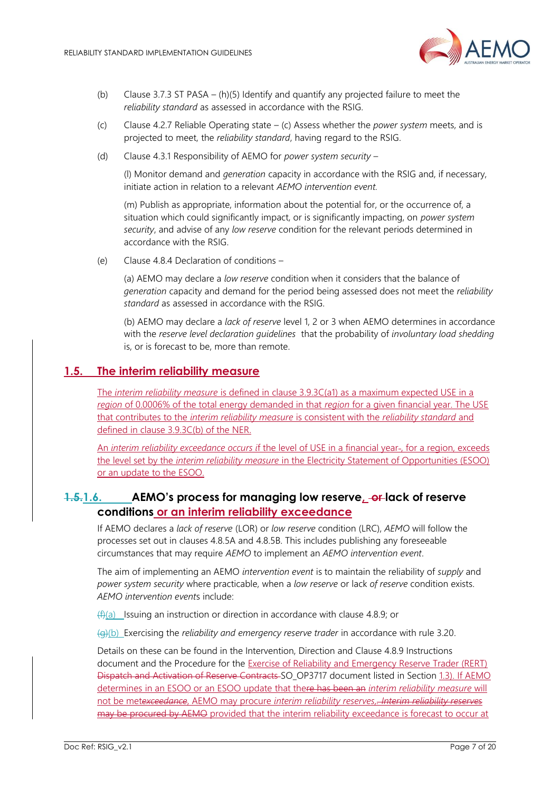

- (b) Clause 3.7.3 ST PASA (h)(5) Identify and quantify any projected failure to meet the *reliability standard* as assessed in accordance with the RSIG.
- (c) Clause 4.2.7 Reliable Operating state (c) Assess whether the *power system* meets, and is projected to meet, the *reliability standard*, having regard to the RSIG.
- (d) Clause 4.3.1 Responsibility of AEMO for *power system security* –

(l) Monitor demand and *generation* capacity in accordance with the RSIG and, if necessary, initiate action in relation to a relevant *AEMO intervention event.*

(m) Publish as appropriate, information about the potential for, or the occurrence of, a situation which could significantly impact, or is significantly impacting, on *power system security*, and advise of any *low reserve* condition for the relevant periods determined in accordance with the RSIG.

(e) Clause 4.8.4 Declaration of conditions –

(a) AEMO may declare a *low reserve* condition when it considers that the balance of *generation* capacity and demand for the period being assessed does not meet the *reliability standard* as assessed in accordance with the RSIG.

(b) AEMO may declare a *lack of reserve* level 1, 2 or 3 when AEMO determines in accordance with the *reserve level declaration guidelines* that the probability of *involuntary load shedding* is, or is forecast to be, more than remote.

#### <span id="page-6-0"></span>**1.5. The interim reliability measure**

The *interim reliability measure* is defined in clause 3.9.3C(a1) as a maximum expected USE in a *region* of 0.0006% of the total energy demanded in that *region* for a given financial year. The USE that contributes to the *interim reliability measure* is consistent with the *reliability standard* and defined in clause 3.9.3C(b) of the NER.

An *interim reliability exceedance occurs if* the level of USE in a financial year-, for a region, exceeds the level set by the *interim reliability measure* in the Electricity Statement of Opportunities (ESOO) or an update to the ESOO.

## <span id="page-6-1"></span>**1.5.1.6. AEMO's process for managing low reserve, or lack of reserve conditions or an interim reliability exceedance**

If AEMO declares a *lack of reserve* (LOR) or *low reserve* condition (LRC), *AEMO* will follow the processes set out in clauses 4.8.5A and 4.8.5B. This includes publishing any foreseeable circumstances that may require *AEMO* to implement an *AEMO intervention event*.

The aim of implementing an AEMO *intervention event* is to maintain the reliability of *supply* and *power system security* where practicable, when a *low reserve* or lack *of reserve* condition exists. *AEMO intervention event*s include:

 $(f(x))$  Issuing an instruction or direction in accordance with clause 4.8.9; or

(g)(b) Exercising the *reliability and emergency reserve trader* in accordance with rule 3.20.

Details on these can be found in the Intervention, Direction and Clause 4.8.9 Instructions document and the Procedure for the Exercise of Reliability and Emergency Reserve Trader (RERT) Dispatch and Activation of Reserve Contracts SO\_OP3717 document listed in Section [1.3\)](#page-4-0). If AEMO determines in an ESOO or an ESOO update that there has been an *interim reliability measure* will not be met*exceedance*, AEMO may procure *interim reliability reserves,. Interim reliability reserves*  may be procured by AEMO provided that the interim reliability exceedance is forecast to occur at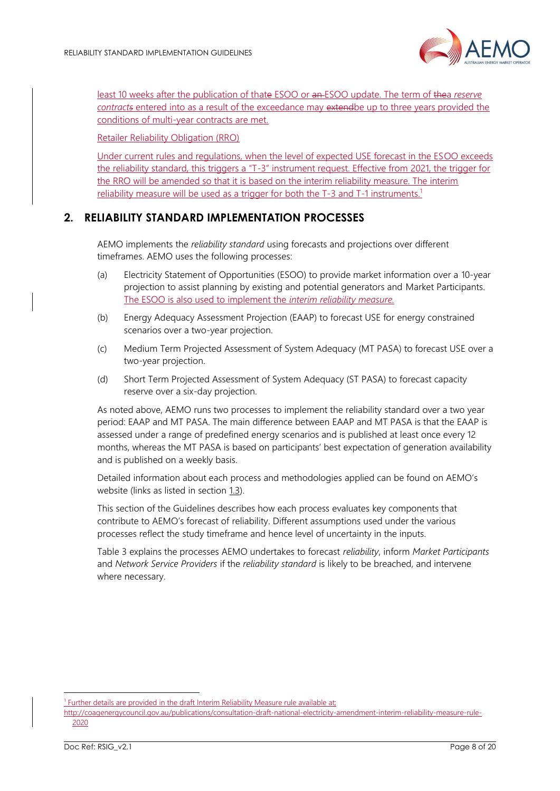

least 10 weeks after the publication of thate ESOO or an ESOO update. The term of thea *reserve contracts* entered into as a result of the exceedance may extendbe up to three years provided the conditions of multi-year contracts are met.

Retailer Reliability Obligation (RRO)

Under current rules and regulations, when the level of expected USE forecast in the ESOO exceeds the reliability standard, this triggers a "T-3" instrument request. Effective from 2021, the trigger for the RRO will be amended so that it is based on the interim reliability measure. The interim reliability measure will be used as a trigger for both the T-3 and T-1 instruments.<sup>1</sup>

#### <span id="page-7-0"></span>**2. RELIABILITY STANDARD IMPLEMENTATION PROCESSES**

AEMO implements the *reliability standard* using forecasts and projections over different timeframes. AEMO uses the following processes:

- (a) Electricity Statement of Opportunities (ESOO) to provide market information over a 10-year projection to assist planning by existing and potential generators and Market Participants. The ESOO is also used to implement the *interim reliability measure.*
- (b) Energy Adequacy Assessment Projection (EAAP) to forecast USE for energy constrained scenarios over a two-year projection.
- (c) Medium Term Projected Assessment of System Adequacy (MT PASA) to forecast USE over a two-year projection.
- (d) Short Term Projected Assessment of System Adequacy (ST PASA) to forecast capacity reserve over a six-day projection.

As noted above, AEMO runs two processes to implement the reliability standard over a two year period: EAAP and MT PASA. The main difference between EAAP and MT PASA is that the EAAP is assessed under a range of predefined energy scenarios and is published at least once every 12 months, whereas the MT PASA is based on participants' best expectation of generation availability and is published on a weekly basis.

Detailed information about each process and methodologies applied can be found on AEMO's website (links as listed in section [1.3\)](#page-4-0).

This section of the Guidelines describes how each process evaluates key components that contribute to AEMO's forecast of reliability. Different assumptions used under the various processes reflect the study timeframe and hence level of uncertainty in the inputs.

[Table 3](#page-8-1) explains the processes AEMO undertakes to forecast *reliability*, inform *Market Participants* and *Network Service Providers* if the *reliability standard* is likely to be breached, and intervene where necessary.

[http://coagenergycouncil.gov.au/publications/consultation-draft-national-electricity-amendment-interim-reliability-measure-rule-](http://coagenergycouncil.gov.au/publications/consultation-draft-national-electricity-amendment-interim-reliability-measure-rule-2020)[2020](http://coagenergycouncil.gov.au/publications/consultation-draft-national-electricity-amendment-interim-reliability-measure-rule-2020)

<sup>&</sup>lt;sup>1</sup> Further details are provided in the draft Interim Reliability Measure rule available at;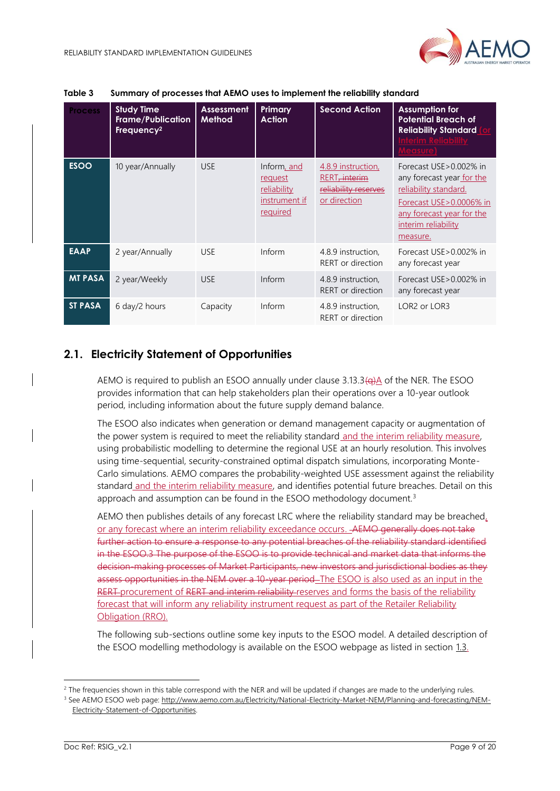

| <b>Process</b> | <b>Study Time</b><br><b>Frame/Publication</b><br>Frequency <sup>2</sup> | <b>Assessment</b><br><b>Method</b> | Primary<br><b>Action</b>                                           | <b>Second Action</b>                                                                    | <b>Assumption for</b><br><b>Potential Breach of</b><br><b>Reliability Standard</b><br><u>nterim Reliability </u>                                                                   |
|----------------|-------------------------------------------------------------------------|------------------------------------|--------------------------------------------------------------------|-----------------------------------------------------------------------------------------|------------------------------------------------------------------------------------------------------------------------------------------------------------------------------------|
| <b>ESOO</b>    | 10 year/Annually                                                        | <b>USE</b>                         | Inform, and<br>request<br>reliability<br>instrument if<br>required | 4.8.9 instruction,<br>RERT <del>. interim</del><br>reliability reserves<br>or direction | Forecast USE > 0.002% in<br>any forecast year for the<br><u>reliability standard.</u><br>Forecast USE > 0.0006% in<br>any forecast year for the<br>interim reliability<br>measure. |
| <b>EAAP</b>    | 2 year/Annually                                                         | <b>USE</b>                         | Inform                                                             | 4.8.9 instruction.<br>RERT or direction                                                 | Forecast USE > 0.002% in<br>any forecast year                                                                                                                                      |
| <b>MT PASA</b> | 2 year/Weekly                                                           | <b>USE</b>                         | Inform                                                             | 4.8.9 instruction,<br>RERT or direction                                                 | Forecast USE > 0.002% in<br>any forecast year                                                                                                                                      |
| <b>ST PASA</b> | 6 day/2 hours                                                           | Capacity                           | Inform                                                             | 4.8.9 instruction,<br>RERT or direction                                                 | LOR <sub>2</sub> or LOR <sub>3</sub>                                                                                                                                               |

#### <span id="page-8-1"></span>**Table 3 Summary of processes that AEMO uses to implement the reliability standard**

## <span id="page-8-0"></span>**2.1. Electricity Statement of Opportunities**

AEMO is required to publish an ESOO annually under clause  $3.13.3\left(\frac{q}{q}\right)$  of the NER. The ESOO provides information that can help stakeholders plan their operations over a 10-year outlook period, including information about the future supply demand balance.

The ESOO also indicates when generation or demand management capacity or augmentation of the power system is required to meet the reliability standard and the interim reliability measure, using probabilistic modelling to determine the regional USE at an hourly resolution. This involves using time-sequential, security-constrained optimal dispatch simulations, incorporating Monte-Carlo simulations. AEMO compares the probability-weighted USE assessment against the reliability standard and the interim reliability measure, and identifies potential future breaches. Detail on this approach and assumption can be found in the ESOO methodology document.<sup>3</sup>

AEMO then publishes details of any forecast LRC where the reliability standard may be breached, or any forecast where an interim reliability exceedance occurs. AEMO generally does not take further action to ensure a response to any potential breaches of the reliability standard identified in the ESOO.3 The purpose of the ESOO is to provide technical and market data that informs the decision-making processes of Market Participants, new investors and jurisdictional bodies as they assess opportunities in the NEM over a 10-year period-The ESOO is also used as an input in the RERT procurement of RERT and interim reliability reserves and forms the basis of the reliability forecast that will inform any reliability instrument request as part of the Retailer Reliability Obligation (RRO).

The following sub-sections outline some key inputs to the ESOO model. A detailed description of the ESOO modelling methodology is available on the ESOO webpage as listed in section [1.3.](#page-4-0)

 $2$  The frequencies shown in this table correspond with the NER and will be updated if changes are made to the underlying rules.

<sup>&</sup>lt;sup>3</sup> See AEMO ESOO web page: [http://www.aemo.com.au/Electricity/National-Electricity-Market-NEM/Planning-and-forecasting/NEM-](http://www.aemo.com.au/Electricity/National-Electricity-Market-NEM/Planning-and-forecasting/NEM-Electricity-Statement-of-Opportunities)[Electricity-Statement-of-Opportunities.](http://www.aemo.com.au/Electricity/National-Electricity-Market-NEM/Planning-and-forecasting/NEM-Electricity-Statement-of-Opportunities)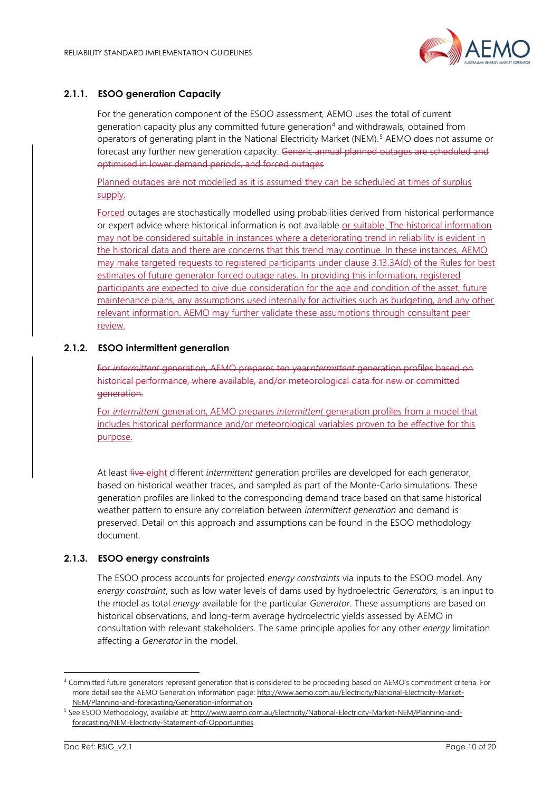

#### **2.1.1. ESOO generation Capacity**

For the generation component of the ESOO assessment, AEMO uses the total of current generation capacity plus any committed future generation<sup>4</sup> and withdrawals, obtained from operators of generating plant in the National Electricity Market (NEM).<sup>5</sup> AEMO does not assume or forecast any further new generation capacity. Generic annual planned outages are scheduled and optimised in lower demand periods, and forced outages

Planned outages are not modelled as it is assumed they can be scheduled at times of surplus supply.

Forced outages are stochastically modelled using probabilities derived from historical performance or expert advice where historical information is not available or suitable. The historical information may not be considered suitable in instances where a deteriorating trend in reliability is evident in the historical data and there are concerns that this trend may continue. In these instances, AEMO may make targeted requests to registered participants under clause 3.13.3A(d) of the Rules for best estimates of future generator forced outage rates. In providing this information, registered participants are expected to give due consideration for the age and condition of the asset, future maintenance plans, any assumptions used internally for activities such as budgeting, and any other relevant information. AEMO may further validate these assumptions through consultant peer review.

#### **2.1.2. ESOO intermittent generation**

For *intermittent* generation, AEMO prepares ten year*intermittent* generation profiles based on historical performance, where available, and/or meteorological data for new or committed generation.

For *intermittent* generation, AEMO prepares *intermittent* generation profiles from a model that includes historical performance and/or meteorological variables proven to be effective for this purpose.

At least five eight different *intermittent* generation profiles are developed for each generator, based on historical weather traces, and sampled as part of the Monte-Carlo simulations. These generation profiles are linked to the corresponding demand trace based on that same historical weather pattern to ensure any correlation between *intermittent generation* and demand is preserved. Detail on this approach and assumptions can be found in the ESOO methodology document.

#### **2.1.3. ESOO energy constraints**

The ESOO process accounts for projected *energy constraints* via inputs to the ESOO model. Any *energy constraint*, such as low water levels of dams used by hydroelectric *Generators,* is an input to the model as total *energy* available for the particular *Generator*. These assumptions are based on historical observations, and long-term average hydroelectric yields assessed by AEMO in consultation with relevant stakeholders. The same principle applies for any other *energy* limitation affecting a *Generator* in the model.

<sup>4</sup> Committed future generators represent generation that is considered to be proceeding based on AEMO's commitment criteria. For more detail see the AEMO Generation Information page[: http://www.aemo.com.au/Electricity/National-Electricity-Market-](http://www.aemo.com.au/Electricity/National-Electricity-Market-NEM/Planning-and-forecasting/Generation-information)[NEM/Planning-and-forecasting/Generation-information.](http://www.aemo.com.au/Electricity/National-Electricity-Market-NEM/Planning-and-forecasting/Generation-information)

<sup>5</sup> See ESOO Methodology, available at[: http://www.aemo.com.au/Electricity/National-Electricity-Market-NEM/Planning-and](http://www.aemo.com.au/Electricity/National-Electricity-Market-NEM/Planning-and-forecasting/NEM-Electricity-Statement-of-Opportunities)[forecasting/NEM-Electricity-Statement-of-Opportunities.](http://www.aemo.com.au/Electricity/National-Electricity-Market-NEM/Planning-and-forecasting/NEM-Electricity-Statement-of-Opportunities)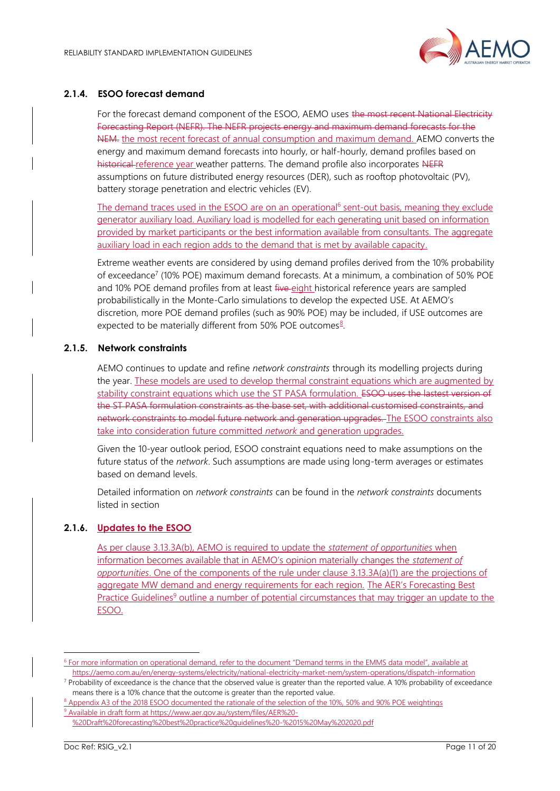

#### <span id="page-10-0"></span>**2.1.4. ESOO forecast demand**

For the forecast demand component of the ESOO, AEMO uses the most recent National Electricity Forecasting Report (NEFR). The NEFR projects energy and maximum demand forecasts for the NEM. the most recent forecast of annual consumption and maximum demand. AEMO converts the energy and maximum demand forecasts into hourly, or half-hourly, demand profiles based on historical reference year weather patterns. The demand profile also incorporates NEFR assumptions on future distributed energy resources (DER), such as rooftop photovoltaic (PV), battery storage penetration and electric vehicles (EV).

The demand traces used in the ESOO are on an operational<sup>6</sup> sent-out basis, meaning they exclude generator auxiliary load. Auxiliary load is modelled for each generating unit based on information provided by market participants or the best information available from consultants. The aggregate auxiliary load in each region adds to the demand that is met by available capacity.

Extreme weather events are considered by using demand profiles derived from the 10% probability of exceedance<sup>7</sup> (10% POE) maximum demand forecasts. At a minimum, a combination of 50% POE and 10% POE demand profiles from at least five eight historical reference years are sampled probabilistically in the Monte-Carlo simulations to develop the expected USE. At AEMO's discretion, more POE demand profiles (such as 90% POE) may be included, if USE outcomes are expected to be materially different from 50% POE outcomes<sup>8</sup>.

#### **2.1.5. Network constraints**

AEMO continues to update and refine *network constraints* through its modelling projects during the year. These models are used to develop thermal constraint equations which are augmented by stability constraint equations which use the ST PASA formulation. ESOO uses the lastest version of the ST PASA formulation constraints as the base set, with additional customised constraints, and network constraints to model future network and generation upgrades. The ESOO constraints also take into consideration future committed *network* and generation upgrades.

Given the 10-year outlook period, ESOO constraint equations need to make assumptions on the future status of the *network*. Such assumptions are made using long-term averages or estimates based on demand levels.

Detailed information on *network constraints* can be found in the *network constraints* documents listed in section

#### **2.1.6. Updates to the ESOO**

As per clause 3.13.3A(b), AEMO is required to update the *statement of opportunities* when information becomes available that in AEMO's opinion materially changes the *statement of opportunities*. One of the components of the rule under clause 3.13.3A(a)(1) are the projections of aggregate MW demand and energy requirements for each region. The AER's Forecasting Best Practice Guidelines<sup>9</sup> outline a number of potential circumstances that may trigger an update to the ESOO.

<sup>&</sup>lt;sup>6</sup> For more information on operational demand, refer to the document "Demand terms in the EMMS data model", available at <https://aemo.com.au/en/energy-systems/electricity/national-electricity-market-nem/system-operations/dispatch-information>

 $7$  Probability of exceedance is the chance that the observed value is greater than the reported value. A 10% probability of exceedance means there is a 10% chance that the outcome is greater than the reported value.

<sup>&</sup>lt;sup>8</sup> Appendix A3 of the 2018 ESOO documented the rationale of the selection of the 10%, 50% and 90% POE weightings <sup>9</sup> Available in draft form at [https://www.aer.gov.au/system/files/AER%20-](https://www.aer.gov.au/system/files/AER%20-%20Draft%20forecasting%20best%20practice%20guidelines%20-%2015%20May%202020.pdf)

[<sup>%20</sup>Draft%20forecasting%20best%20practice%20guidelines%20-%2015%20May%202020.pdf](https://www.aer.gov.au/system/files/AER%20-%20Draft%20forecasting%20best%20practice%20guidelines%20-%2015%20May%202020.pdf)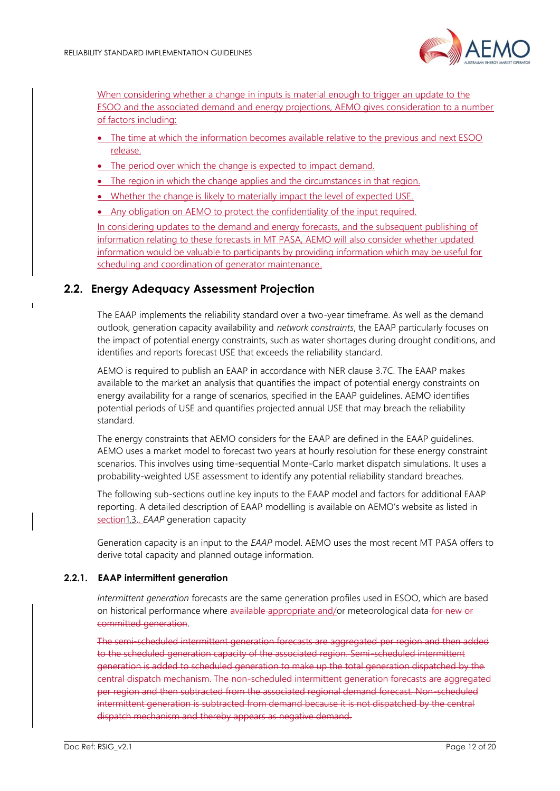

When considering whether a change in inputs is material enough to trigger an update to the ESOO and the associated demand and energy projections, AEMO gives consideration to a number of factors including:

- The time at which the information becomes available relative to the previous and next ESOO release.
- The period over which the change is expected to impact demand.
- The region in which the change applies and the circumstances in that region.
- Whether the change is likely to materially impact the level of expected USE.
- Any obligation on AEMO to protect the confidentiality of the input required.

In considering updates to the demand and energy forecasts, and the subsequent publishing of information relating to these forecasts in MT PASA, AEMO will also consider whether updated information would be valuable to participants by providing information which may be useful for scheduling and coordination of generator maintenance.

## <span id="page-11-0"></span>**2.2. Energy Adequacy Assessment Projection**

The EAAP implements the reliability standard over a two-year timeframe. As well as the demand outlook, generation capacity availability and *network constraints*, the EAAP particularly focuses on the impact of potential energy constraints, such as water shortages during drought conditions, and identifies and reports forecast USE that exceeds the reliability standard.

AEMO is required to publish an EAAP in accordance with NER clause 3.7C. The EAAP makes available to the market an analysis that quantifies the impact of potential energy constraints on energy availability for a range of scenarios, specified in the EAAP guidelines. AEMO identifies potential periods of USE and quantifies projected annual USE that may breach the reliability standard.

The energy constraints that AEMO considers for the EAAP are defined in the EAAP guidelines. AEMO uses a market model to forecast two years at hourly resolution for these energy constraint scenarios. This involves using time-sequential Monte-Carlo market dispatch simulations. It uses a probability-weighted USE assessment to identify any potential reliability standard breaches.

The following sub-sections outline key inputs to the EAAP model and factors for additional EAAP reporting. A detailed description of EAAP modelling is available on AEMO's website as listed in sectio[n1.3.](#page-4-0). *EAAP* generation capacity

Generation capacity is an input to the *EAAP* model. AEMO uses the most recent MT PASA offers to derive total capacity and planned outage information.

#### **2.2.1. EAAP intermittent generation**

*Intermittent generation* forecasts are the same generation profiles used in ESOO, which are based on historical performance where available appropriate and/or meteorological data for new or committed generation.

The semi-scheduled intermittent generation forecasts are aggregated per region and then added to the scheduled generation capacity of the associated region. Semi-scheduled intermittent generation is added to scheduled generation to make up the total generation dispatched by the central dispatch mechanism. The non-scheduled intermittent generation forecasts are aggregated per region and then subtracted from the associated regional demand forecast. Non-scheduled intermittent generation is subtracted from demand because it is not dispatched by the central dispatch mechanism and thereby appears as negative demand.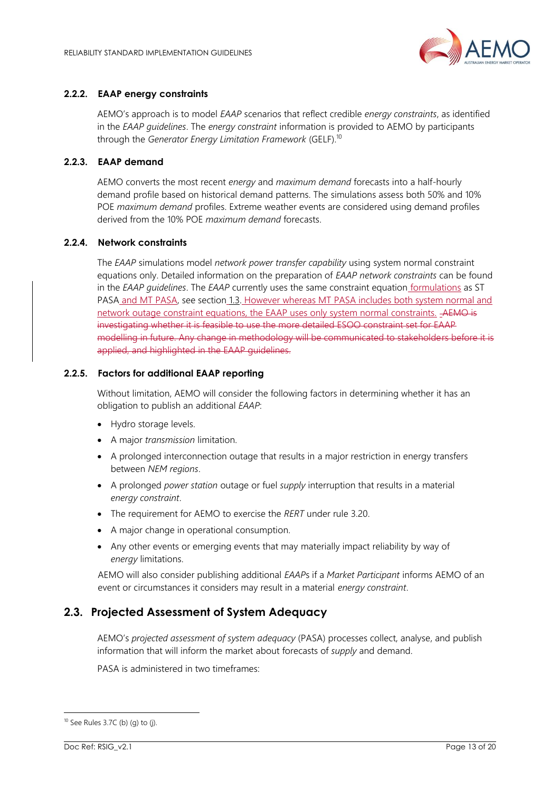

#### **2.2.2. EAAP energy constraints**

AEMO's approach is to model *EAAP* scenarios that reflect credible *energy constraints*, as identified in the *EAAP guidelines*. The *energy constraint* information is provided to AEMO by participants through the *Generator Energy Limitation Framework* (GELF).<sup>10</sup>

#### **2.2.3. EAAP demand**

AEMO converts the most recent *energy* and *maximum demand* forecasts into a half-hourly demand profile based on historical demand patterns. The simulations assess both 50% and 10% POE *maximum demand* profiles. Extreme weather events are considered using demand profiles derived from the 10% POE *maximum demand* forecasts.

#### **2.2.4. Network constraints**

The *EAAP* simulations model *network power transfer capability* using system normal constraint equations only. Detailed information on the preparation of *EAAP network constraints* can be found in the *EAAP guidelines*. The *EAAP* currently uses the same constraint equation formulations as ST PASA and MT PASA, see section [1.3.](#page-4-0) However whereas MT PASA includes both system normal and network outage constraint equations, the EAAP uses only system normal constraints. AEMO is investigating whether it is feasible to use the more detailed ESOO constraint set for EAAP modelling in future. Any change in methodology will be communicated to stakeholders before it is applied, and highlighted in the EAAP guidelines.

#### **2.2.5. Factors for additional EAAP reporting**

Without limitation, AEMO will consider the following factors in determining whether it has an obligation to publish an additional *EAAP*:

- Hydro storage levels.
- A major *transmission* limitation.
- A prolonged interconnection outage that results in a major restriction in energy transfers between *NEM regions*.
- A prolonged *power station* outage or fuel *supply* interruption that results in a material *energy constraint*.
- The requirement for AEMO to exercise the *RERT* under rule 3.20.
- A major change in operational consumption.
- Any other events or emerging events that may materially impact reliability by way of *energy* limitations.

AEMO will also consider publishing additional *EAAP*s if a *Market Participant* informs AEMO of an event or circumstances it considers may result in a material *energy constraint*.

## <span id="page-12-0"></span>**2.3. Projected Assessment of System Adequacy**

AEMO's *projected assessment of system adequacy* (PASA) processes collect, analyse, and publish information that will inform the market about forecasts of *supply* and demand.

PASA is administered in two timeframes:

 $10$  See Rules 3.7C (b) (g) to (j).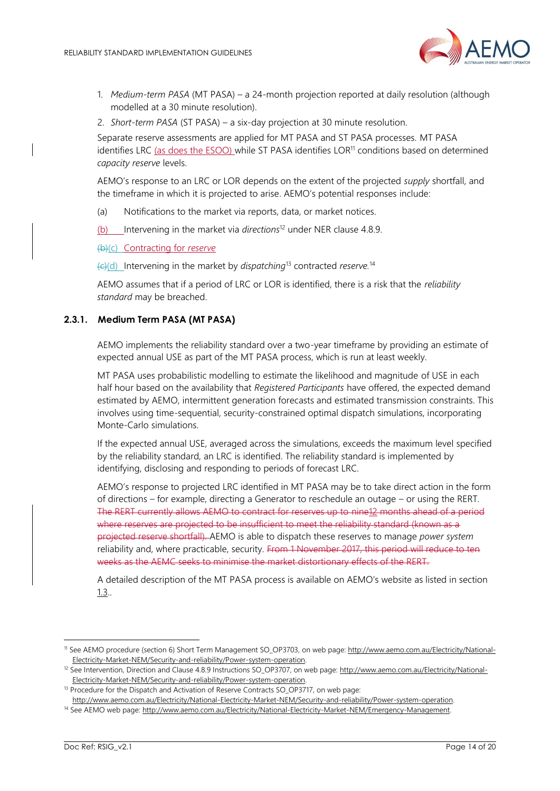

- 1. *Medium-term PASA* (MT PASA) a 24-month projection reported at daily resolution (although modelled at a 30 minute resolution).
- 2. *Short-term PASA* (ST PASA) a six-day projection at 30 minute resolution.

Separate reserve assessments are applied for MT PASA and ST PASA processes. MT PASA identifies LRC (as does the ESOO) while ST PASA identifies LOR<sup>11</sup> conditions based on determined *capacity reserve* levels.

AEMO's response to an LRC or LOR depends on the extent of the projected *supply* shortfall, and the timeframe in which it is projected to arise. AEMO's potential responses include:

(a) Notifications to the market via reports, data, or market notices.

(b) Intervening in the market via *directions*<sup>12</sup> under NER clause 4.8.9.

(b)(c) Contracting for *reserve*

(c)(d) Intervening in the market by *dispatching*<sup>13</sup> contracted *reserve.* 14

AEMO assumes that if a period of LRC or LOR is identified, there is a risk that the *reliability standard* may be breached.

#### **2.3.1. Medium Term PASA (MT PASA)**

AEMO implements the reliability standard over a two-year timeframe by providing an estimate of expected annual USE as part of the MT PASA process, which is run at least weekly.

MT PASA uses probabilistic modelling to estimate the likelihood and magnitude of USE in each half hour based on the availability that *Registered Participants* have offered, the expected demand estimated by AEMO, intermittent generation forecasts and estimated transmission constraints. This involves using time-sequential, security-constrained optimal dispatch simulations, incorporating Monte-Carlo simulations.

If the expected annual USE, averaged across the simulations, exceeds the maximum level specified by the reliability standard, an LRC is identified. The reliability standard is implemented by identifying, disclosing and responding to periods of forecast LRC.

AEMO's response to projected LRC identified in MT PASA may be to take direct action in the form of directions – for example, directing a Generator to reschedule an outage – or using the RERT. The RERT currently allows AEMO to contract for reserves up to nine12 months ahead of a period where reserves are projected to be insufficient to meet the reliability standard (known as a projected reserve shortfall). AEMO is able to dispatch these reserves to manage *power system* reliability and, where practicable, security. From 1 November 2017, this period will reduce to ten weeks as the AEMC seeks to minimise the market distortionary effects of the RERT.

A detailed description of the MT PASA process is available on AEMO's website as listed in section [1.3..](#page-4-0)

<sup>11</sup> See AEMO procedure (section 6) Short Term Management SO\_OP3703, on web page: [http://www.aemo.com.au/Electricity/National-](http://www.aemo.com.au/Electricity/National-Electricity-Market-NEM/Security-and-reliability/Power-system-operation)[Electricity-Market-NEM/Security-and-reliability/Power-system-operation.](http://www.aemo.com.au/Electricity/National-Electricity-Market-NEM/Security-and-reliability/Power-system-operation)

<sup>&</sup>lt;sup>12</sup> See Intervention, Direction and Clause 4.8.9 Instructions SO\_OP3707, on web page[: http://www.aemo.com.au/Electricity/National-](http://www.aemo.com.au/Electricity/National-Electricity-Market-NEM/Security-and-reliability/Power-system-operation)[Electricity-Market-NEM/Security-and-reliability/Power-system-operation.](http://www.aemo.com.au/Electricity/National-Electricity-Market-NEM/Security-and-reliability/Power-system-operation)

<sup>&</sup>lt;sup>13</sup> Procedure for the Dispatch and Activation of Reserve Contracts SO\_OP3717, on web page: [http://www.aemo.com.au/Electricity/National-Electricity-Market-NEM/Security-and-reliability/Power-system-operation.](http://www.aemo.com.au/Electricity/National-Electricity-Market-NEM/Security-and-reliability/Power-system-operation)

<sup>&</sup>lt;sup>14</sup> See AEMO web page[: http://www.aemo.com.au/Electricity/National-Electricity-Market-NEM/Emergency-Management.](http://www.aemo.com.au/Electricity/National-Electricity-Market-NEM/Emergency-Management)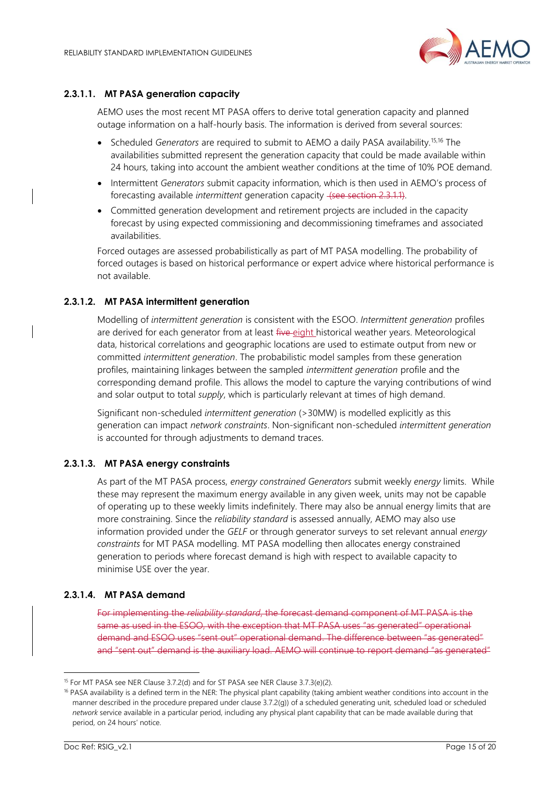

#### **2.3.1.1. MT PASA generation capacity**

AEMO uses the most recent MT PASA offers to derive total generation capacity and planned outage information on a half-hourly basis. The information is derived from several sources:

- Scheduled *Generators* are required to submit to AEMO a daily PASA availability.15,16 The availabilities submitted represent the generation capacity that could be made available within 24 hours, taking into account the ambient weather conditions at the time of 10% POE demand.
- Intermittent *Generators* submit capacity information, which is then used in AEMO's process of forecasting available *intermittent* generation capacity (see section 2.3.1.1).
- Committed generation development and retirement projects are included in the capacity forecast by using expected commissioning and decommissioning timeframes and associated availabilities.

Forced outages are assessed probabilistically as part of MT PASA modelling. The probability of forced outages is based on historical performance or expert advice where historical performance is not available.

#### **2.3.1.2. MT PASA intermittent generation**

Modelling of *intermittent generation* is consistent with the ESOO. *Intermittent generation* profiles are derived for each generator from at least five eight historical weather years. Meteorological data, historical correlations and geographic locations are used to estimate output from new or committed *intermittent generation*. The probabilistic model samples from these generation profiles, maintaining linkages between the sampled *intermittent generation* profile and the corresponding demand profile. This allows the model to capture the varying contributions of wind and solar output to total *supply*, which is particularly relevant at times of high demand.

Significant non-scheduled *intermittent generation* (>30MW) is modelled explicitly as this generation can impact *network constraints*. Non-significant non-scheduled *intermittent generation* is accounted for through adjustments to demand traces.

#### **2.3.1.3. MT PASA energy constraints**

As part of the MT PASA process, *energy constrained Generators* submit weekly *energy* limits. While these may represent the maximum energy available in any given week, units may not be capable of operating up to these weekly limits indefinitely. There may also be annual energy limits that are more constraining. Since the *reliability standard* is assessed annually, AEMO may also use information provided under the *GELF* or through generator surveys to set relevant annual *energy constraints* for MT PASA modelling. MT PASA modelling then allocates energy constrained generation to periods where forecast demand is high with respect to available capacity to minimise USE over the year.

#### **2.3.1.4. MT PASA demand**

For implementing the *reliability standard*, the forecast demand component of MT PASA is the same as used in the ESOO, with the exception that MT PASA uses "as generated" operational demand and ESOO uses "sent out" operational demand. The difference between "as generated" and "sent out" demand is the auxiliary load. AEMO will continue to report demand "as generated"

<sup>&</sup>lt;sup>15</sup> For MT PASA see NER Clause 3.7.2(d) and for ST PASA see NER Clause 3.7.3(e)(2).

<sup>&</sup>lt;sup>16</sup> PASA availability is a defined term in the NER: The physical plant capability (taking ambient weather conditions into account in the manner described in the procedure prepared under clause 3.7.2(g)) of a scheduled generating unit, scheduled load or scheduled *network* service available in a particular period, including any physical plant capability that can be made available during that period, on 24 hours' notice.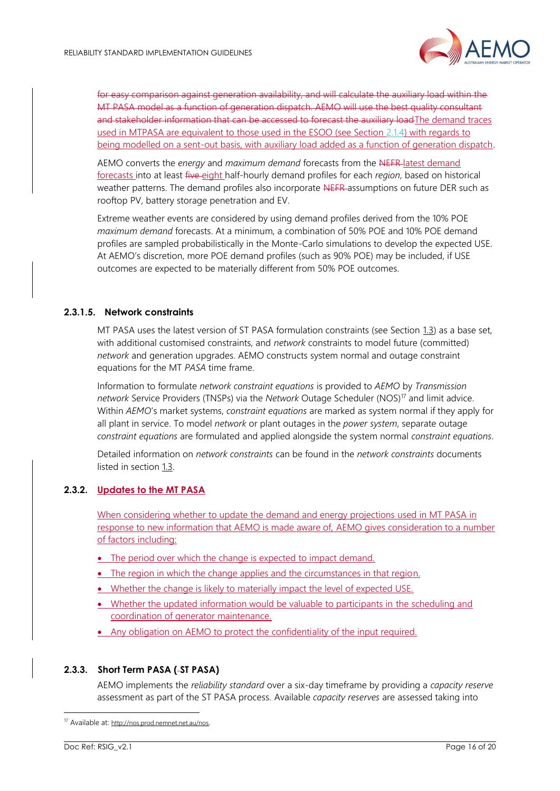

for easy comparison against generation availability, and will calculate the auxiliary load within the MT PASA model as a function of generation dispatch. AEMO will use the best quality consultant and stakeholder information that can be accessed to forecast the auxiliary load The demand traces used in MTPASA are equivalent to those used in the ESOO (see Section [2.1.4\)](#page-10-0) with regards to being modelled on a sent-out basis, with auxiliary load added as a function of generation dispatch.

AEMO converts the *energy* and *maximum demand* forecasts from the NEFR latest demand forecasts into at least five eight half-hourly demand profiles for each *region*, based on historical weather patterns. The demand profiles also incorporate NEFR assumptions on future DER such as rooftop PV, battery storage penetration and EV.

Extreme weather events are considered by using demand profiles derived from the 10% POE *maximum demand* forecasts. At a minimum, a combination of 50% POE and 10% POE demand profiles are sampled probabilistically in the Monte-Carlo simulations to develop the expected USE. At AEMO's discretion, more POE demand profiles (such as 90% POE) may be included, if USE outcomes are expected to be materially different from 50% POE outcomes.

#### **2.3.1.5. Network constraints**

MT PASA uses the latest version of ST PASA formulation constraints (see Section [1.3\)](#page-4-0) as a base set, with additional customised constraints, and *network* constraints to model future (committed) *network* and generation upgrades. AEMO constructs system normal and outage constraint equations for the MT *PASA* time frame.

Information to formulate *network constraint equations* is provided to *AEMO* by *Transmission network* Service Providers (TNSPs) via the *Network* Outage Scheduler (NOS)<sup>17</sup> and limit advice. Within *AEMO*'s market systems, *constraint equations* are marked as system normal if they apply for all plant in service. To model *network* or plant outages in the *power system*, separate outage *constraint equations* are formulated and applied alongside the system normal *constraint equations*.

Detailed information on *network constraints* can be found in the *network constraints* documents listed in section [1.3.](#page-4-0)

#### **2.3.2. Updates to the MT PASA**

When considering whether to update the demand and energy projections used in MT PASA in response to new information that AEMO is made aware of, AEMO gives consideration to a number of factors including:

- The period over which the change is expected to impact demand.
- The region in which the change applies and the circumstances in that region.
- Whether the change is likely to materially impact the level of expected USE.
- Whether the updated information would be valuable to participants in the scheduling and coordination of generator maintenance.
- Any obligation on AEMO to protect the confidentiality of the input required.

#### **2.3.3. Short Term PASA ( ST PASA)**

AEMO implements the *reliability standard* over a six-day timeframe by providing a *capacity reserve* assessment as part of the ST PASA process. Available *capacity reserves* are assessed taking into

<sup>17</sup> Available at: <http://nos.prod.nemnet.net.au/nos>.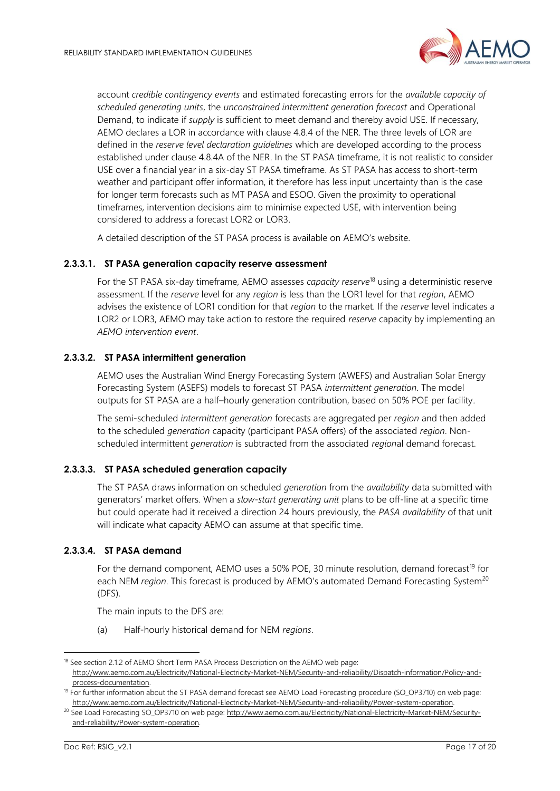

account *credible contingency events* and estimated forecasting errors for the *available capacity of scheduled generating units*, the *unconstrained intermittent generation forecast* and Operational Demand, to indicate if *supply* is sufficient to meet demand and thereby avoid USE. If necessary, AEMO declares a LOR in accordance with clause 4.8.4 of the NER. The three levels of LOR are defined in the *reserve level declaration guidelines* which are developed according to the process established under clause 4.8.4A of the NER. In the ST PASA timeframe, it is not realistic to consider USE over a financial year in a six-day ST PASA timeframe. As ST PASA has access to short-term weather and participant offer information, it therefore has less input uncertainty than is the case for longer term forecasts such as MT PASA and ESOO. Given the proximity to operational timeframes, intervention decisions aim to minimise expected USE, with intervention being considered to address a forecast LOR2 or LOR3.

A detailed description of the ST PASA process is available on AEMO's website.

#### **2.3.3.1. ST PASA generation capacity reserve assessment**

For the ST PASA six-day timeframe, AEMO assesses *capacity reserve*<sup>18</sup> using a deterministic reserve assessment. If the *reserve* level for any *region* is less than the LOR1 level for that *region*, AEMO advises the existence of LOR1 condition for that *region* to the market. If the *reserve* level indicates a LOR2 or LOR3, AEMO may take action to restore the required *reserve* capacity by implementing an *AEMO intervention event*.

#### **2.3.3.2. ST PASA intermittent generation**

AEMO uses the Australian Wind Energy Forecasting System (AWEFS) and Australian Solar Energy Forecasting System (ASEFS) models to forecast ST PASA *intermittent generation*. The model outputs for ST PASA are a half–hourly generation contribution, based on 50% POE per facility.

The semi-scheduled *intermittent generation* forecasts are aggregated per *region* and then added to the scheduled *generation* capacity (participant PASA offers) of the associated *region*. Nonscheduled intermittent *generation* is subtracted from the associated *region*al demand forecast.

#### **2.3.3.3. ST PASA scheduled generation capacity**

The ST PASA draws information on scheduled *generation* from the *availability* data submitted with generators' market offers. When a *slow-start generating unit* plans to be off-line at a specific time but could operate had it received a direction 24 hours previously, the *PASA availability* of that unit will indicate what capacity AEMO can assume at that specific time.

#### **2.3.3.4. ST PASA demand**

For the demand component, AEMO uses a 50% POE, 30 minute resolution, demand forecast<sup>19</sup> for each NEM *region*. This forecast is produced by AEMO's automated Demand Forecasting System<sup>20</sup> (DFS).

The main inputs to the DFS are:

(a) Half-hourly historical demand for NEM *regions*.

<sup>&</sup>lt;sup>18</sup> See section 2.1.2 of AEMO Short Term PASA Process Description on the AEMO web page: [http://www.aemo.com.au/Electricity/National-Electricity-Market-NEM/Security-and-reliability/Dispatch-information/Policy-and](http://www.aemo.com.au/Electricity/National-Electricity-Market-NEM/Security-and-reliability/Dispatch-information/Policy-and-process-documentation)[process-documentation.](http://www.aemo.com.au/Electricity/National-Electricity-Market-NEM/Security-and-reliability/Dispatch-information/Policy-and-process-documentation)

<sup>&</sup>lt;sup>19</sup> For further information about the ST PASA demand forecast see AEMO Load Forecasting procedure (SO\_OP3710) on web page: [http://www.aemo.com.au/Electricity/National-Electricity-Market-NEM/Security-and-reliability/Power-system-operation.](http://www.aemo.com.au/Electricity/National-Electricity-Market-NEM/Security-and-reliability/Power-system-operation)

<sup>&</sup>lt;sup>20</sup> See Load Forecasting SO\_OP3710 on web page[: http://www.aemo.com.au/Electricity/National-Electricity-Market-NEM/Security](http://www.aemo.com.au/Electricity/National-Electricity-Market-NEM/Security-and-reliability/Power-system-operation)[and-reliability/Power-system-operation.](http://www.aemo.com.au/Electricity/National-Electricity-Market-NEM/Security-and-reliability/Power-system-operation)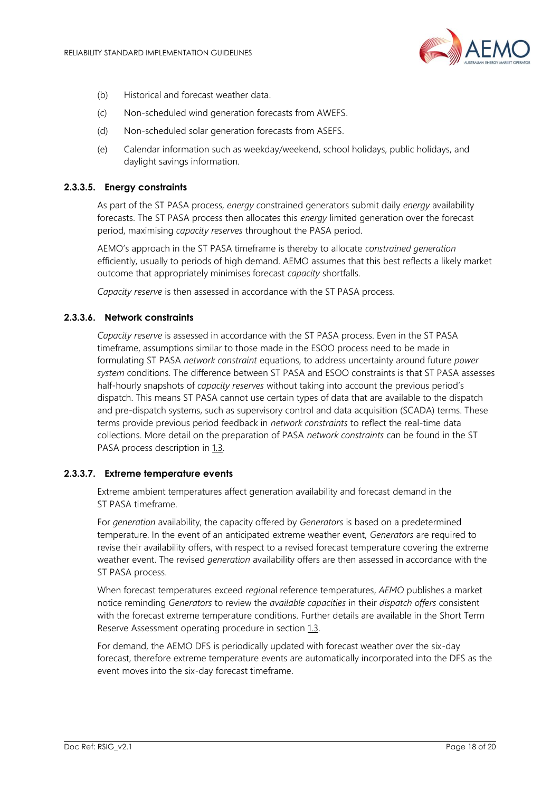

- (b) Historical and forecast weather data.
- (c) Non-scheduled wind generation forecasts from AWEFS.
- (d) Non-scheduled solar generation forecasts from ASEFS.
- (e) Calendar information such as weekday/weekend, school holidays, public holidays, and daylight savings information.

#### **2.3.3.5. Energy constraints**

As part of the ST PASA process, *energy c*onstrained generators submit daily *energy* availability forecasts. The ST PASA process then allocates this *energy* limited generation over the forecast period, maximising *capacity reserves* throughout the PASA period.

AEMO's approach in the ST PASA timeframe is thereby to allocate *constrained generation* efficiently, usually to periods of high demand. AEMO assumes that this best reflects a likely market outcome that appropriately minimises forecast *capacity* shortfalls.

*Capacity reserve* is then assessed in accordance with the ST PASA process.

#### **2.3.3.6. Network constraints**

*Capacity reserve* is assessed in accordance with the ST PASA process. Even in the ST PASA timeframe, assumptions similar to those made in the ESOO process need to be made in formulating ST PASA *network constraint* equations, to address uncertainty around future *power system* conditions. The difference between ST PASA and ESOO constraints is that ST PASA assesses half-hourly snapshots of *capacity reserves* without taking into account the previous period's dispatch. This means ST PASA cannot use certain types of data that are available to the dispatch and pre-dispatch systems, such as supervisory control and data acquisition (SCADA) terms. These terms provide previous period feedback in *network constraints* to reflect the real-time data collections. More detail on the preparation of PASA *network constraints* can be found in the ST PASA process description in [1.3.](#page-4-0)

#### **2.3.3.7. Extreme temperature events**

Extreme ambient temperatures affect generation availability and forecast demand in the ST PASA timeframe.

For *generation* availability, the capacity offered by *Generators* is based on a predetermined temperature. In the event of an anticipated extreme weather event, *Generators* are required to revise their availability offers, with respect to a revised forecast temperature covering the extreme weather event. The revised *generation* availability offers are then assessed in accordance with the ST PASA process.

When forecast temperatures exceed *region*al reference temperatures, *AEMO* publishes a market notice reminding *Generators* to review the *available capacities* in their *dispatch offers* consistent with the forecast extreme temperature conditions. Further details are available in the Short Term Reserve Assessment operating procedure in section [1.3.](#page-4-0)

For demand, the AEMO DFS is periodically updated with forecast weather over the six-day forecast, therefore extreme temperature events are automatically incorporated into the DFS as the event moves into the six-day forecast timeframe.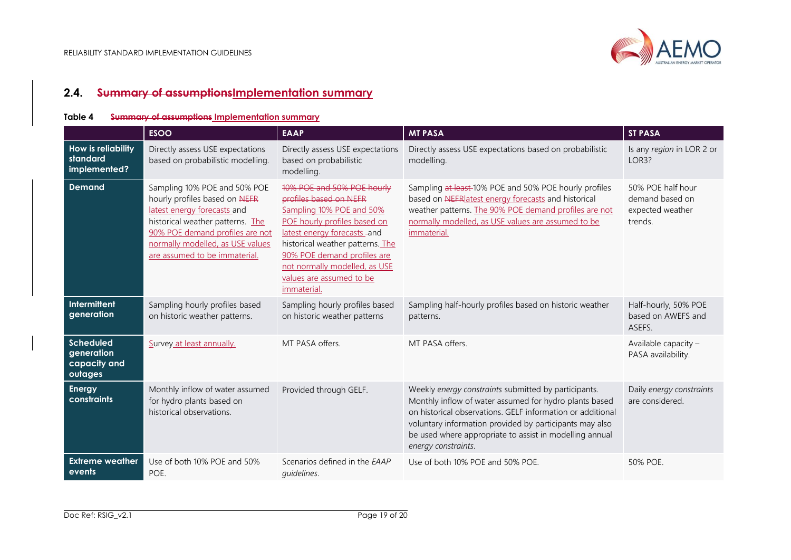

# **2.4. Summary of assumptionsImplementation summary**

#### **Table 4 Summary of assumptions Implementation summary**

<span id="page-18-1"></span><span id="page-18-0"></span>

|                                                           | <b>ESOO</b>                                                                                                                                                                                                                              | <b>EAAP</b>                                                                                                                                                                                                                                                                                     | <b>MT PASA</b>                                                                                                                                                                                                                                                                                                            | <b>ST PASA</b>                                                      |
|-----------------------------------------------------------|------------------------------------------------------------------------------------------------------------------------------------------------------------------------------------------------------------------------------------------|-------------------------------------------------------------------------------------------------------------------------------------------------------------------------------------------------------------------------------------------------------------------------------------------------|---------------------------------------------------------------------------------------------------------------------------------------------------------------------------------------------------------------------------------------------------------------------------------------------------------------------------|---------------------------------------------------------------------|
| <b>How is reliability</b><br>standard<br>implemented?     | Directly assess USE expectations<br>based on probabilistic modelling.                                                                                                                                                                    | Directly assess USE expectations<br>based on probabilistic<br>modelling.                                                                                                                                                                                                                        | Directly assess USE expectations based on probabilistic<br>modelling.                                                                                                                                                                                                                                                     | Is any region in LOR 2 or<br>LOR3?                                  |
| <b>Demand</b>                                             | Sampling 10% POE and 50% POE<br>hourly profiles based on NEFR<br>latest energy forecasts and<br>historical weather patterns. The<br>90% POE demand profiles are not<br>normally modelled, as USE values<br>are assumed to be immaterial. | 10% POE and 50% POE hourly<br>profiles based on NEFR<br>Sampling 10% POE and 50%<br>POE hourly profiles based on<br>latest energy forecasts -and<br>historical weather patterns. The<br>90% POE demand profiles are<br>not normally modelled, as USE<br>values are assumed to be<br>immaterial. | Sampling at least-10% POE and 50% POE hourly profiles<br>based on NEFR atest energy forecasts and historical<br>weather patterns. The 90% POE demand profiles are not<br>normally modelled, as USE values are assumed to be<br>immaterial.                                                                                | 50% POE half hour<br>demand based on<br>expected weather<br>trends. |
| Intermittent<br>generation                                | Sampling hourly profiles based<br>on historic weather patterns.                                                                                                                                                                          | Sampling hourly profiles based<br>on historic weather patterns                                                                                                                                                                                                                                  | Sampling half-hourly profiles based on historic weather<br>patterns.                                                                                                                                                                                                                                                      | Half-hourly, 50% POE<br>based on AWEFS and<br>ASEFS.                |
| <b>Scheduled</b><br>generation<br>capacity and<br>outages | Survey at least annually.                                                                                                                                                                                                                | MT PASA offers.                                                                                                                                                                                                                                                                                 | MT PASA offers.                                                                                                                                                                                                                                                                                                           | Available capacity -<br>PASA availability.                          |
| Energy<br>constraints                                     | Monthly inflow of water assumed<br>for hydro plants based on<br>historical observations.                                                                                                                                                 | Provided through GELF.                                                                                                                                                                                                                                                                          | Weekly energy constraints submitted by participants.<br>Monthly inflow of water assumed for hydro plants based<br>on historical observations. GELF information or additional<br>voluntary information provided by participants may also<br>be used where appropriate to assist in modelling annual<br>energy constraints. | Daily energy constraints<br>are considered.                         |
| <b>Extreme</b> weather<br>events                          | Use of both 10% POE and 50%<br>POE.                                                                                                                                                                                                      | Scenarios defined in the EAAP<br>quidelines.                                                                                                                                                                                                                                                    | Use of both 10% POE and 50% POE.                                                                                                                                                                                                                                                                                          | 50% POE.                                                            |